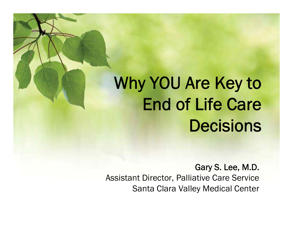# Why YOU Are Key to End of Life Care Decisions

Gary S. Lee, M.D. Assistant Director, Palliative Care Service Santa Clara Valley Medical Center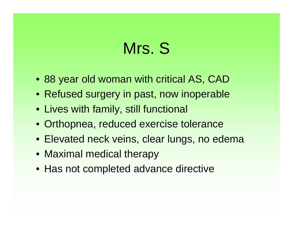## Mrs. S

- 88 year old woman with critical AS, CAD
- Refused surgery in past, now inoperable
- Lives with family, still functional
- Orthopnea, reduced exercise tolerance
- Elevated neck veins, clear lungs, no edema
- Maximal medical therapy
- Has not completed advance directive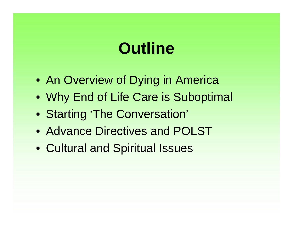## **Outline**

- An Overview of Dying in America
- Why End of Life Care is Suboptimal
- Starting 'The Conversation'
- Advance Directives and POLST
- Cultural and Spiritual Issues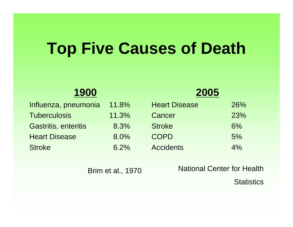## **Top Five Causes of Death**

| 1900                        |         | 2005                 |            |  |
|-----------------------------|---------|----------------------|------------|--|
| Influenza, pneumonia        | 11.8%   | <b>Heart Disease</b> | <b>26%</b> |  |
| <b>Tuberculosis</b>         | 11.3%   | Cancer               | 23%        |  |
| <b>Gastritis, enteritis</b> | 8.3%    | <b>Stroke</b>        | 6%         |  |
| <b>Heart Disease</b>        | $8.0\%$ | <b>COPD</b>          | 5%         |  |
| <b>Stroke</b>               | 6.2%    | <b>Accidents</b>     | 4%         |  |

Brim et al., 1970

National Center for Health **Statistics**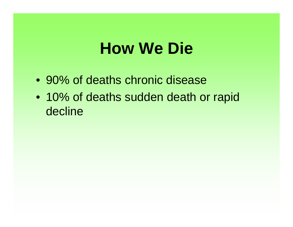## **How We Die**

- 90% of deaths chronic disease
- 10% of deaths sudden death or rapid decline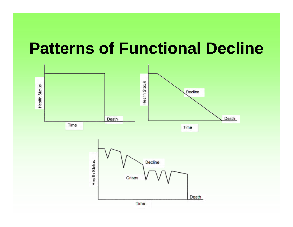#### **Patterns of Functional Decline**

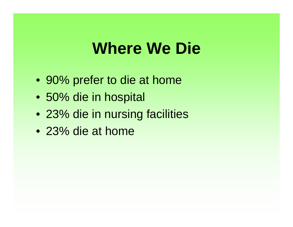#### **Where We Die**

- 90% prefer to die at home
- 50% die in hospital
- 23% die in nursing facilities
- 23% die at home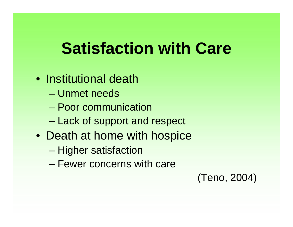#### **Satisfaction with Care**

- Institutional death
	- Unmet needs
	- Poor communication
	- Lack of support and respect
- Death at home with hospice
	- Higher satisfaction
	- Fewer concerns with care

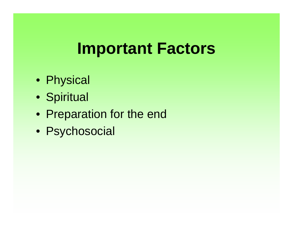#### **Important Factors**

- Physical
- Spiritual
- Preparation for the end
- Psychosocial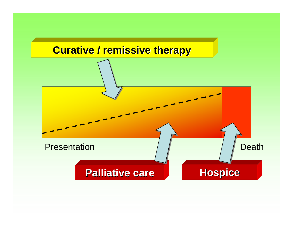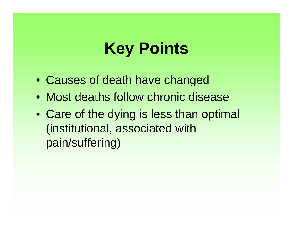# **Key Points**

- Causes of death have changed
- Most deaths follow chronic disease
- Care of the dying is less than optimal (institutional, associated with pain/suffering)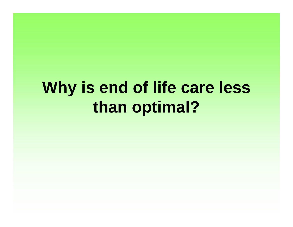## **Why is end of life care less than optimal?**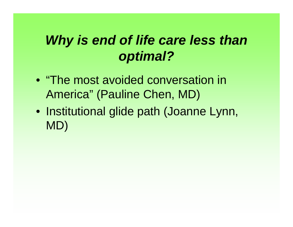#### *Why is end of life care less than optimal?*

- "The most avoided conversation in America" (Pauline Chen, MD)
- Institutional glide path (Joanne Lynn, MD)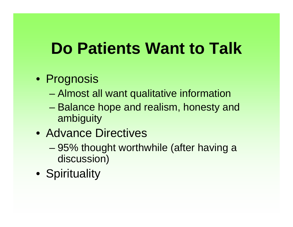## **Do Patients Want to Talk**

#### • Prognosis

- Almost all want qualitative information
- Balance hope and realism, honesty and ambiguity
- Advance Directives
	- 95% thought worthwhile (after having a discussion)
- Spirituality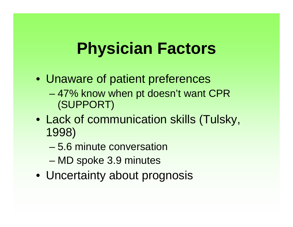## **Physician Factors**

- Unaware of patient preferences – 47% know when pt doesn't want CPR
	- (SUPPORT)
- Lack of communication skills (Tulsky, 1998)
	- 5.6 minute conversation
	- MD spoke 3.9 minutes
- Uncertainty about prognosis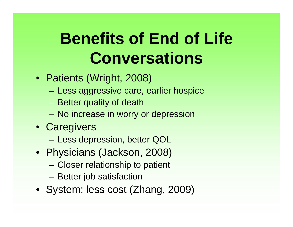# **Benefits of End of Life Conversations**

- Patients (Wright, 2008)
	- Less aggressive care, earlier hospice
	- Better quality of death
	- No increase in worry or depression
- Caregivers
	- Less depression, better QOL
- Physicians (Jackson, 2008)
	- Closer relationship to patient
	- Better job satisfaction
- System: less cost (Zhang, 2009)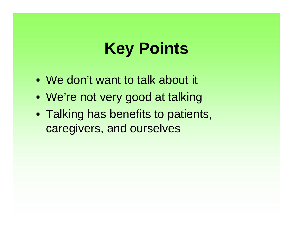# **Key Points**

- We don't want to talk about it
- We're not very good at talking
- Talking has benefits to patients, caregivers, and ourselves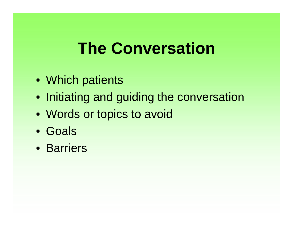## **The Conversation**

- Which patients
- Initiating and guiding the conversation
- Words or topics to avoid
- Goals
- Barriers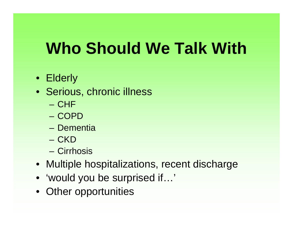# **Who Should We Talk With**

- Elderly
- Serious, chronic illness
	- CHF
	- COPD
	- Dementia
	- CKD
	- Cirrhosis
- Multiple hospitalizations, recent discharge
- 'would you be surprised if…'
- Other opportunities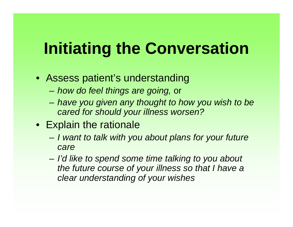# **Initiating the Conversation**

- Assess patient's understanding
	- *how do feel things are going,* or
	- *have you given any thought to how you wish to be cared for should your illness worsen?*
- Explain the rationale
	- *I want to talk with you about plans for your future care*
	- *I'd like to spend some time talking to you about the future course of your illness so that I have a clear understanding of your wishes*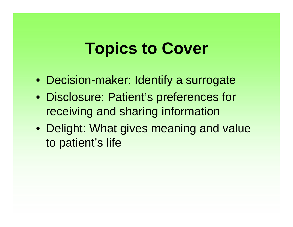## **Topics to Cover**

- Decision-maker: Identify a surrogate
- Disclosure: Patient's preferences for receiving and sharing information
- Delight: What gives meaning and value to patient's life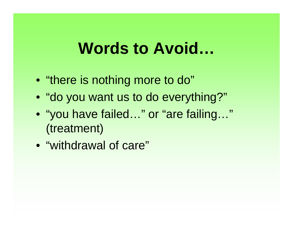#### **Words to Avoid…**

- "there is nothing more to do"
- "do you want us to do everything?"
- "you have failed…" or "are failing…" (treatment)
- "withdrawal of care"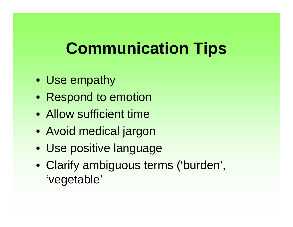## **Communication Tips**

- Use empathy
- Respond to emotion
- Allow sufficient time
- Avoid medical jargon
- Use positive language
- Clarify ambiguous terms ('burden', 'vegetable'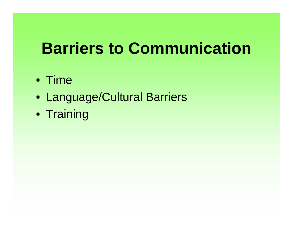## **Barriers to Communication**

- Time
- Language/Cultural Barriers
- Training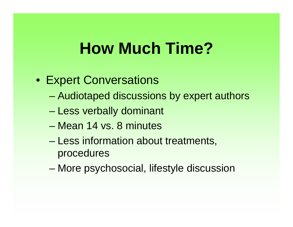## **How Much Time?**

- Expert Conversations
	- Audiotaped discussions by expert authors
	- Less verbally dominant
	- Mean 14 vs. 8 minutes
	- Less information about treatments, procedures
	- More psychosocial, lifestyle discussion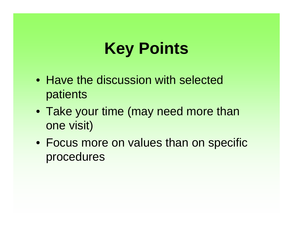# **Key Points**

- Have the discussion with selected patients
- Take your time (may need more than one visit)
- Focus more on values than on specific procedures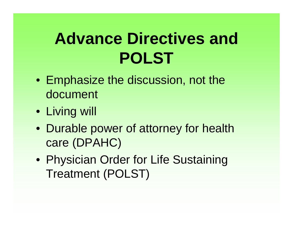## **Advance Directives and POLST**

- Emphasize the discussion, not the document
- Living will
- Durable power of attorney for health care (DPAHC)
- Physician Order for Life Sustaining Treatment (POLST)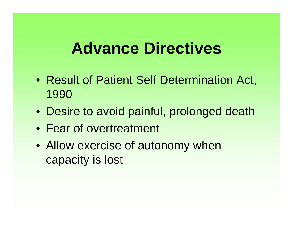### **Advance Directives**

- Result of Patient Self Determination Act, 1990
- Desire to avoid painful, prolonged death
- Fear of overtreatment
- Allow exercise of autonomy when capacity is lost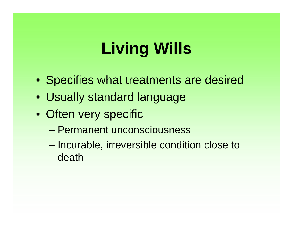# **Living Wills**

- Specifies what treatments are desired
- Usually standard language
- Often very specific
	- Permanent unconsciousness
	- Incurable, irreversible condition close to death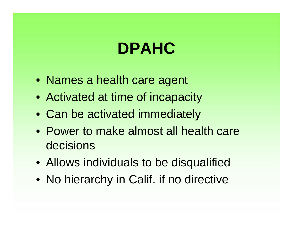## **DPAHC**

- Names a health care agent
- Activated at time of incapacity
- Can be activated immediately
- Power to make almost all health care decisions
- Allows individuals to be disqualified
- No hierarchy in Calif. if no directive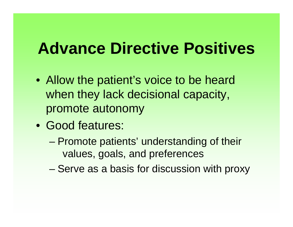## **Advance Directive Positives**

- Allow the patient's voice to be heard when they lack decisional capacity, promote autonomy
- Good features:
	- Promote patients' understanding of their values, goals, and preferences
	- Serve as a basis for discussion with proxy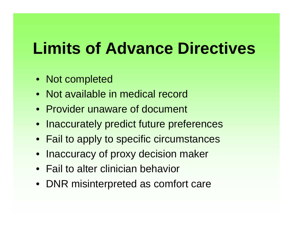## **Limits of Advance Directives**

- Not completed
- Not available in medical record
- Provider unaware of document
- Inaccurately predict future preferences
- Fail to apply to specific circumstances
- Inaccuracy of proxy decision maker
- Fail to alter clinician behavior
- DNR misinterpreted as comfort care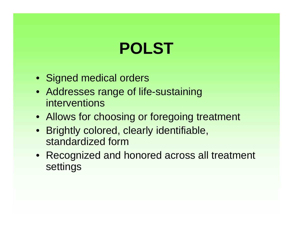## **POLST**

- Signed medical orders
- Addresses range of life-sustaining interventions
- Allows for choosing or foregoing treatment
- Brightly colored, clearly identifiable, standardized form
- Recognized and honored across all treatment settings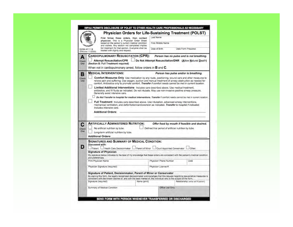| Physician Orders for Life-Sustaining Treatment (POLST)<br><b>Last Name</b><br>First follow these orders, then contact<br>physician. This is a Physician Order Sheet.<br>First /Middle Name<br>based on the person's current medical condition<br>CALIFORN<br>and wishes. Any section not completed implies<br>full treatment for that section. Everyone shall be<br>Date of Birth<br>Date Form Prepared<br><b>EMSA#111B</b><br>treated with dignity and respect.<br>(Effective 1/1/2009)<br><b>CARDIOPULMONARY RESUSCITATION (CPR):</b><br>Person has no pulse and is not breathing.<br><b>Attempt Resuscitation/CPR</b><br>Do Not Attempt Resuscitation/DNR (Allow Natural Death)<br>Check<br>(Section B: Full Treatment required)<br>One<br>When not in cardiopulmonary arrest, follow orders in $B$ and $C$ .<br><b>MEDICAL INTERVENTIONS:</b><br>Person has pulse and/or is breathing.<br>в<br>Comfort Measures Only Use medication by any route, positioning, wound care and other measures to<br>Check<br>relieve pain and suffering. Use oxygen, suction and manual treatment of airway obstruction as needed for<br>One<br>comfort. Antibiotics only to promote comfort. Transfer if comfort needs cannot be met in current location.<br>Limited Additional Interventions Includes care described above. Use medical treatment,<br>antibiotics, and IV fluids as indicated. Do not intubate. May use non-invasive positive airway pressure.<br>Generally avoid intensive care.<br>Do Not Transfer to hospital for medical interventions. Transfer if comfort needs cannot be met in current location.<br>Full Treatment Includes care described above. Use intubation, advanced airway interventions,<br>mechanical ventilation, and defibrillation/cardioversion as indicated. Transfer to hospital if indicated.<br>Includes intensive care.<br><b>Additional Orders:</b><br><b>ARTIFICIALLY ADMINISTERED NUTRITION:</b><br>Offer food by mouth if feasible and desired.<br>No artificial nutrition by tube.<br>Defined trial period of artificial nutrition by tube.<br>Check<br>One<br>Long-term artificial nutrition by tube.<br><b>Additional Orders:</b><br><b>SIGNATURES AND SUMMARY OF MEDICAL CONDITION:</b><br><b>Discussed with:</b><br>Parent of Minor<br>Patient L<br>Health Care Decisionmaker<br>Court Appointed Conservator<br>Other:<br><b>Signature of Physician</b><br>My signature below indicates to the best of my knowledge that these orders are consistent with the person's medical condition<br>and preferences.<br>Print Physician Name<br>Physician Phone Number<br>Date<br>Physician Signature (required)<br>Physician License #<br>Signature of Patient, Decisionmaker, Parent of Minor or Conservator<br>By signing this form, the legally recognized decisionmaker acknowledges that this request regarding resuscitative measures is<br>consistent with the known desires of, and with the best interest of, the individual who is the subject of the form.<br>Signature (required)<br>Name (print)<br>Relationship (write self if patient).<br>Summary of Medical Condition<br>Office Use Only |  | <b>SUICAL SERVICE</b> |  |  |  |  |  |  |
|--------------------------------------------------------------------------------------------------------------------------------------------------------------------------------------------------------------------------------------------------------------------------------------------------------------------------------------------------------------------------------------------------------------------------------------------------------------------------------------------------------------------------------------------------------------------------------------------------------------------------------------------------------------------------------------------------------------------------------------------------------------------------------------------------------------------------------------------------------------------------------------------------------------------------------------------------------------------------------------------------------------------------------------------------------------------------------------------------------------------------------------------------------------------------------------------------------------------------------------------------------------------------------------------------------------------------------------------------------------------------------------------------------------------------------------------------------------------------------------------------------------------------------------------------------------------------------------------------------------------------------------------------------------------------------------------------------------------------------------------------------------------------------------------------------------------------------------------------------------------------------------------------------------------------------------------------------------------------------------------------------------------------------------------------------------------------------------------------------------------------------------------------------------------------------------------------------------------------------------------------------------------------------------------------------------------------------------------------------------------------------------------------------------------------------------------------------------------------------------------------------------------------------------------------------------------------------------------------------------------------------------------------------------------------------------------------------------------------------------------------------------------------------------------------------------------------------------------------------------------------------------------------------------------------------------------------------------------------------------------------------------------------------------------------------------------------------------------------------------------------------------------|--|-----------------------|--|--|--|--|--|--|
|                                                                                                                                                                                                                                                                                                                                                                                                                                                                                                                                                                                                                                                                                                                                                                                                                                                                                                                                                                                                                                                                                                                                                                                                                                                                                                                                                                                                                                                                                                                                                                                                                                                                                                                                                                                                                                                                                                                                                                                                                                                                                                                                                                                                                                                                                                                                                                                                                                                                                                                                                                                                                                                                                                                                                                                                                                                                                                                                                                                                                                                                                                                                            |  |                       |  |  |  |  |  |  |
|                                                                                                                                                                                                                                                                                                                                                                                                                                                                                                                                                                                                                                                                                                                                                                                                                                                                                                                                                                                                                                                                                                                                                                                                                                                                                                                                                                                                                                                                                                                                                                                                                                                                                                                                                                                                                                                                                                                                                                                                                                                                                                                                                                                                                                                                                                                                                                                                                                                                                                                                                                                                                                                                                                                                                                                                                                                                                                                                                                                                                                                                                                                                            |  |                       |  |  |  |  |  |  |
|                                                                                                                                                                                                                                                                                                                                                                                                                                                                                                                                                                                                                                                                                                                                                                                                                                                                                                                                                                                                                                                                                                                                                                                                                                                                                                                                                                                                                                                                                                                                                                                                                                                                                                                                                                                                                                                                                                                                                                                                                                                                                                                                                                                                                                                                                                                                                                                                                                                                                                                                                                                                                                                                                                                                                                                                                                                                                                                                                                                                                                                                                                                                            |  |                       |  |  |  |  |  |  |
|                                                                                                                                                                                                                                                                                                                                                                                                                                                                                                                                                                                                                                                                                                                                                                                                                                                                                                                                                                                                                                                                                                                                                                                                                                                                                                                                                                                                                                                                                                                                                                                                                                                                                                                                                                                                                                                                                                                                                                                                                                                                                                                                                                                                                                                                                                                                                                                                                                                                                                                                                                                                                                                                                                                                                                                                                                                                                                                                                                                                                                                                                                                                            |  |                       |  |  |  |  |  |  |
|                                                                                                                                                                                                                                                                                                                                                                                                                                                                                                                                                                                                                                                                                                                                                                                                                                                                                                                                                                                                                                                                                                                                                                                                                                                                                                                                                                                                                                                                                                                                                                                                                                                                                                                                                                                                                                                                                                                                                                                                                                                                                                                                                                                                                                                                                                                                                                                                                                                                                                                                                                                                                                                                                                                                                                                                                                                                                                                                                                                                                                                                                                                                            |  |                       |  |  |  |  |  |  |
|                                                                                                                                                                                                                                                                                                                                                                                                                                                                                                                                                                                                                                                                                                                                                                                                                                                                                                                                                                                                                                                                                                                                                                                                                                                                                                                                                                                                                                                                                                                                                                                                                                                                                                                                                                                                                                                                                                                                                                                                                                                                                                                                                                                                                                                                                                                                                                                                                                                                                                                                                                                                                                                                                                                                                                                                                                                                                                                                                                                                                                                                                                                                            |  |                       |  |  |  |  |  |  |
|                                                                                                                                                                                                                                                                                                                                                                                                                                                                                                                                                                                                                                                                                                                                                                                                                                                                                                                                                                                                                                                                                                                                                                                                                                                                                                                                                                                                                                                                                                                                                                                                                                                                                                                                                                                                                                                                                                                                                                                                                                                                                                                                                                                                                                                                                                                                                                                                                                                                                                                                                                                                                                                                                                                                                                                                                                                                                                                                                                                                                                                                                                                                            |  |                       |  |  |  |  |  |  |
|                                                                                                                                                                                                                                                                                                                                                                                                                                                                                                                                                                                                                                                                                                                                                                                                                                                                                                                                                                                                                                                                                                                                                                                                                                                                                                                                                                                                                                                                                                                                                                                                                                                                                                                                                                                                                                                                                                                                                                                                                                                                                                                                                                                                                                                                                                                                                                                                                                                                                                                                                                                                                                                                                                                                                                                                                                                                                                                                                                                                                                                                                                                                            |  |                       |  |  |  |  |  |  |
|                                                                                                                                                                                                                                                                                                                                                                                                                                                                                                                                                                                                                                                                                                                                                                                                                                                                                                                                                                                                                                                                                                                                                                                                                                                                                                                                                                                                                                                                                                                                                                                                                                                                                                                                                                                                                                                                                                                                                                                                                                                                                                                                                                                                                                                                                                                                                                                                                                                                                                                                                                                                                                                                                                                                                                                                                                                                                                                                                                                                                                                                                                                                            |  |                       |  |  |  |  |  |  |
|                                                                                                                                                                                                                                                                                                                                                                                                                                                                                                                                                                                                                                                                                                                                                                                                                                                                                                                                                                                                                                                                                                                                                                                                                                                                                                                                                                                                                                                                                                                                                                                                                                                                                                                                                                                                                                                                                                                                                                                                                                                                                                                                                                                                                                                                                                                                                                                                                                                                                                                                                                                                                                                                                                                                                                                                                                                                                                                                                                                                                                                                                                                                            |  |                       |  |  |  |  |  |  |
|                                                                                                                                                                                                                                                                                                                                                                                                                                                                                                                                                                                                                                                                                                                                                                                                                                                                                                                                                                                                                                                                                                                                                                                                                                                                                                                                                                                                                                                                                                                                                                                                                                                                                                                                                                                                                                                                                                                                                                                                                                                                                                                                                                                                                                                                                                                                                                                                                                                                                                                                                                                                                                                                                                                                                                                                                                                                                                                                                                                                                                                                                                                                            |  |                       |  |  |  |  |  |  |
|                                                                                                                                                                                                                                                                                                                                                                                                                                                                                                                                                                                                                                                                                                                                                                                                                                                                                                                                                                                                                                                                                                                                                                                                                                                                                                                                                                                                                                                                                                                                                                                                                                                                                                                                                                                                                                                                                                                                                                                                                                                                                                                                                                                                                                                                                                                                                                                                                                                                                                                                                                                                                                                                                                                                                                                                                                                                                                                                                                                                                                                                                                                                            |  |                       |  |  |  |  |  |  |
|                                                                                                                                                                                                                                                                                                                                                                                                                                                                                                                                                                                                                                                                                                                                                                                                                                                                                                                                                                                                                                                                                                                                                                                                                                                                                                                                                                                                                                                                                                                                                                                                                                                                                                                                                                                                                                                                                                                                                                                                                                                                                                                                                                                                                                                                                                                                                                                                                                                                                                                                                                                                                                                                                                                                                                                                                                                                                                                                                                                                                                                                                                                                            |  |                       |  |  |  |  |  |  |
|                                                                                                                                                                                                                                                                                                                                                                                                                                                                                                                                                                                                                                                                                                                                                                                                                                                                                                                                                                                                                                                                                                                                                                                                                                                                                                                                                                                                                                                                                                                                                                                                                                                                                                                                                                                                                                                                                                                                                                                                                                                                                                                                                                                                                                                                                                                                                                                                                                                                                                                                                                                                                                                                                                                                                                                                                                                                                                                                                                                                                                                                                                                                            |  |                       |  |  |  |  |  |  |
|                                                                                                                                                                                                                                                                                                                                                                                                                                                                                                                                                                                                                                                                                                                                                                                                                                                                                                                                                                                                                                                                                                                                                                                                                                                                                                                                                                                                                                                                                                                                                                                                                                                                                                                                                                                                                                                                                                                                                                                                                                                                                                                                                                                                                                                                                                                                                                                                                                                                                                                                                                                                                                                                                                                                                                                                                                                                                                                                                                                                                                                                                                                                            |  |                       |  |  |  |  |  |  |
|                                                                                                                                                                                                                                                                                                                                                                                                                                                                                                                                                                                                                                                                                                                                                                                                                                                                                                                                                                                                                                                                                                                                                                                                                                                                                                                                                                                                                                                                                                                                                                                                                                                                                                                                                                                                                                                                                                                                                                                                                                                                                                                                                                                                                                                                                                                                                                                                                                                                                                                                                                                                                                                                                                                                                                                                                                                                                                                                                                                                                                                                                                                                            |  |                       |  |  |  |  |  |  |
|                                                                                                                                                                                                                                                                                                                                                                                                                                                                                                                                                                                                                                                                                                                                                                                                                                                                                                                                                                                                                                                                                                                                                                                                                                                                                                                                                                                                                                                                                                                                                                                                                                                                                                                                                                                                                                                                                                                                                                                                                                                                                                                                                                                                                                                                                                                                                                                                                                                                                                                                                                                                                                                                                                                                                                                                                                                                                                                                                                                                                                                                                                                                            |  |                       |  |  |  |  |  |  |
|                                                                                                                                                                                                                                                                                                                                                                                                                                                                                                                                                                                                                                                                                                                                                                                                                                                                                                                                                                                                                                                                                                                                                                                                                                                                                                                                                                                                                                                                                                                                                                                                                                                                                                                                                                                                                                                                                                                                                                                                                                                                                                                                                                                                                                                                                                                                                                                                                                                                                                                                                                                                                                                                                                                                                                                                                                                                                                                                                                                                                                                                                                                                            |  |                       |  |  |  |  |  |  |
|                                                                                                                                                                                                                                                                                                                                                                                                                                                                                                                                                                                                                                                                                                                                                                                                                                                                                                                                                                                                                                                                                                                                                                                                                                                                                                                                                                                                                                                                                                                                                                                                                                                                                                                                                                                                                                                                                                                                                                                                                                                                                                                                                                                                                                                                                                                                                                                                                                                                                                                                                                                                                                                                                                                                                                                                                                                                                                                                                                                                                                                                                                                                            |  |                       |  |  |  |  |  |  |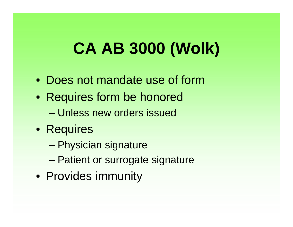# **CA AB 3000 (Wolk)**

- Does not mandate use of form
- Requires form be honored
	- Unless new orders issued
- Requires
	- Physician signature
	- Patient or surrogate signature
- Provides immunity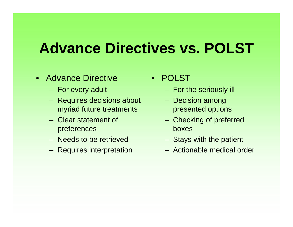#### **Advance Directives vs. POLST**

- Advance Directive
	- For every adult
	- Requires decisions about myriad future treatments
	- Clear statement of preferences
	- Needs to be retrieved
	- Requires interpretation
- POLST
	- For the seriously ill
	- Decision among presented options
	- Checking of preferred boxes
	- Stays with the patient
	- Actionable medical order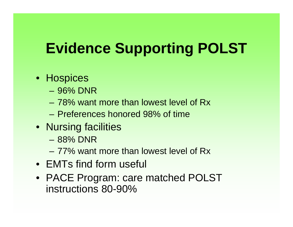## **Evidence Supporting POLST**

#### • Hospices

- 96% DNR
- 78% want more than lowest level of Rx
- Preferences honored 98% of time
- Nursing facilities
	- 88% DNR
	- 77% want more than lowest level of Rx
- EMTs find form useful
- PACE Program: care matched POLST instructions 80-90%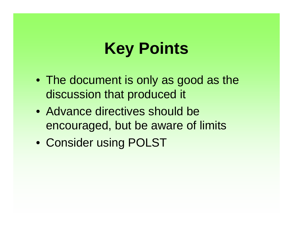# **Key Points**

- The document is only as good as the discussion that produced it
- Advance directives should be encouraged, but be aware of limits
- Consider using POLST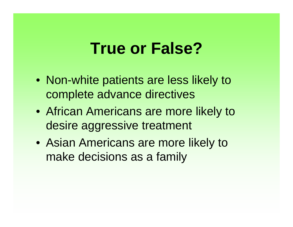#### **True or False?**

- Non-white patients are less likely to complete advance directives
- African Americans are more likely to desire aggressive treatment
- Asian Americans are more likely to make decisions as a family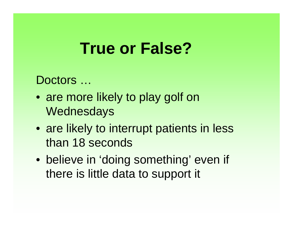#### **True or False?**

Doctors ...

- are more likely to play golf on **Wednesdays**
- are likely to interrupt patients in less than 18 seconds
- believe in 'doing something' even if there is little data to support it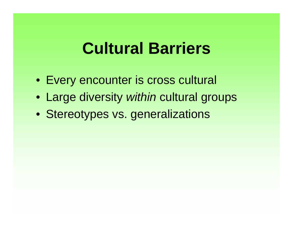### **Cultural Barriers**

- Every encounter is cross cultural
- Large diversity *within* cultural groups
- Stereotypes vs. generalizations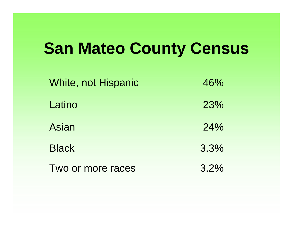#### **San Mateo County Census**

| <b>White, not Hispanic</b> | 46%  |
|----------------------------|------|
| Latino                     | 23%  |
| <b>Asian</b>               | 24%  |
| <b>Black</b>               | 3.3% |
| Two or more races          | 3.2% |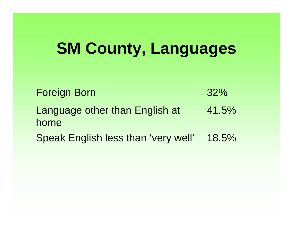## **SM County, Languages**

Foreign Born 32% Language other than English at home41.5%Speak English less than 'very well' 18.5%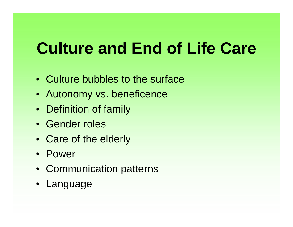# **Culture and End of Life Care**

- Culture bubbles to the surface
- Autonomy vs. beneficence
- Definition of family
- Gender roles
- Care of the elderly
- Power
- Communication patterns
- Language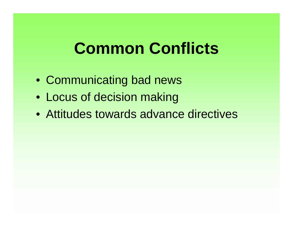## **Common Conflicts**

- Communicating bad news
- Locus of decision making
- Attitudes towards advance directives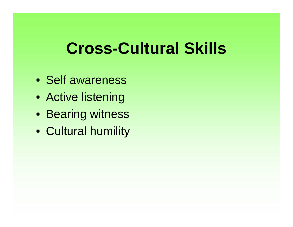## **Cross-Cultural Skills**

- Self awareness
- Active listening
- Bearing witness
- Cultural humility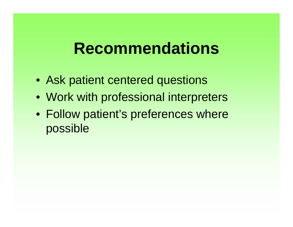#### **Recommendations**

- Ask patient centered questions
- Work with professional interpreters
- Follow patient's preferences where possible